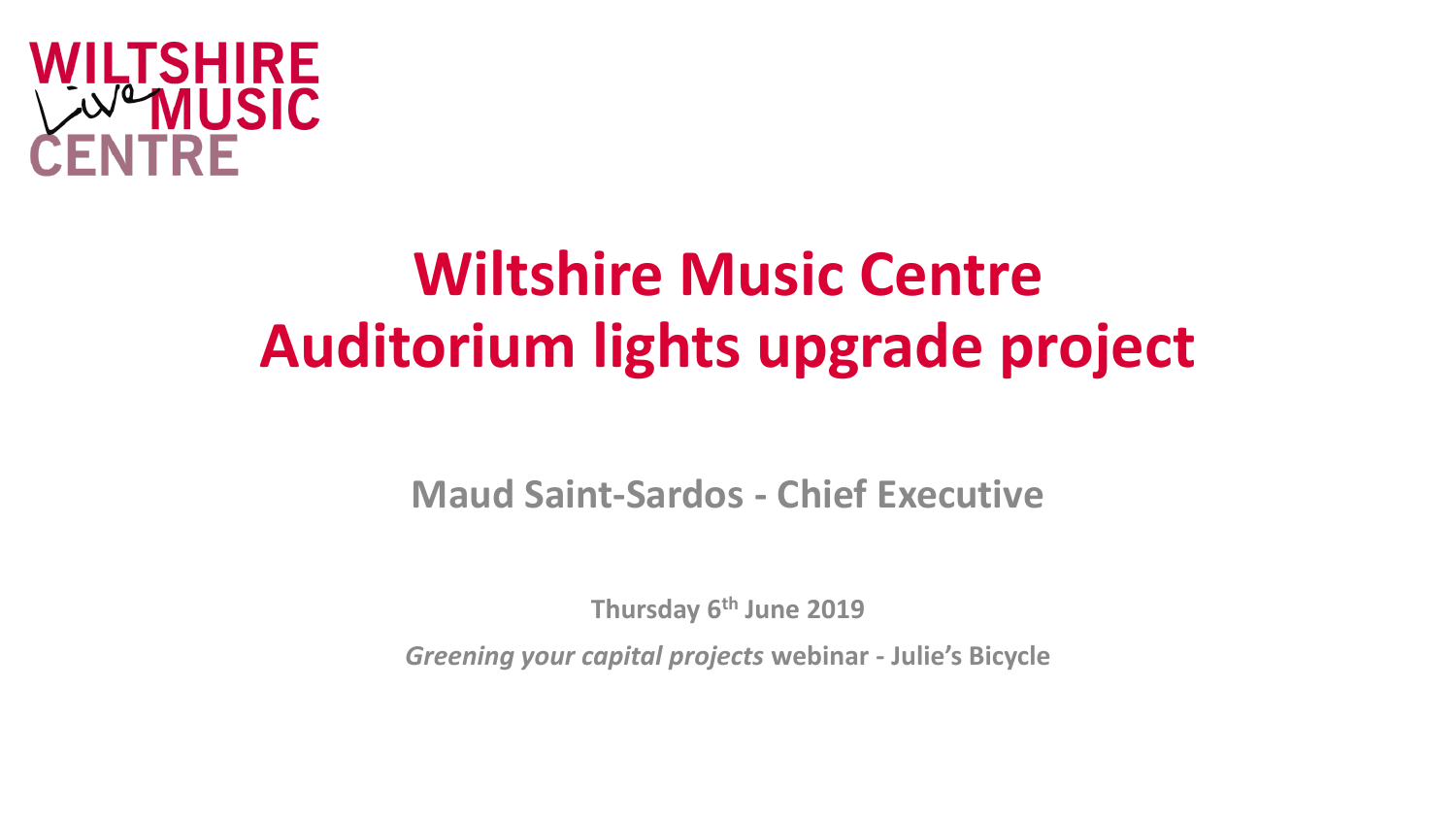

# **Wiltshire Music Centre Auditorium lights upgrade project**

**Maud Saint-Sardos - Chief Executive**

**Thursday 6th June 2019**

*Greening your capital projects* **webinar - Julie's Bicycle**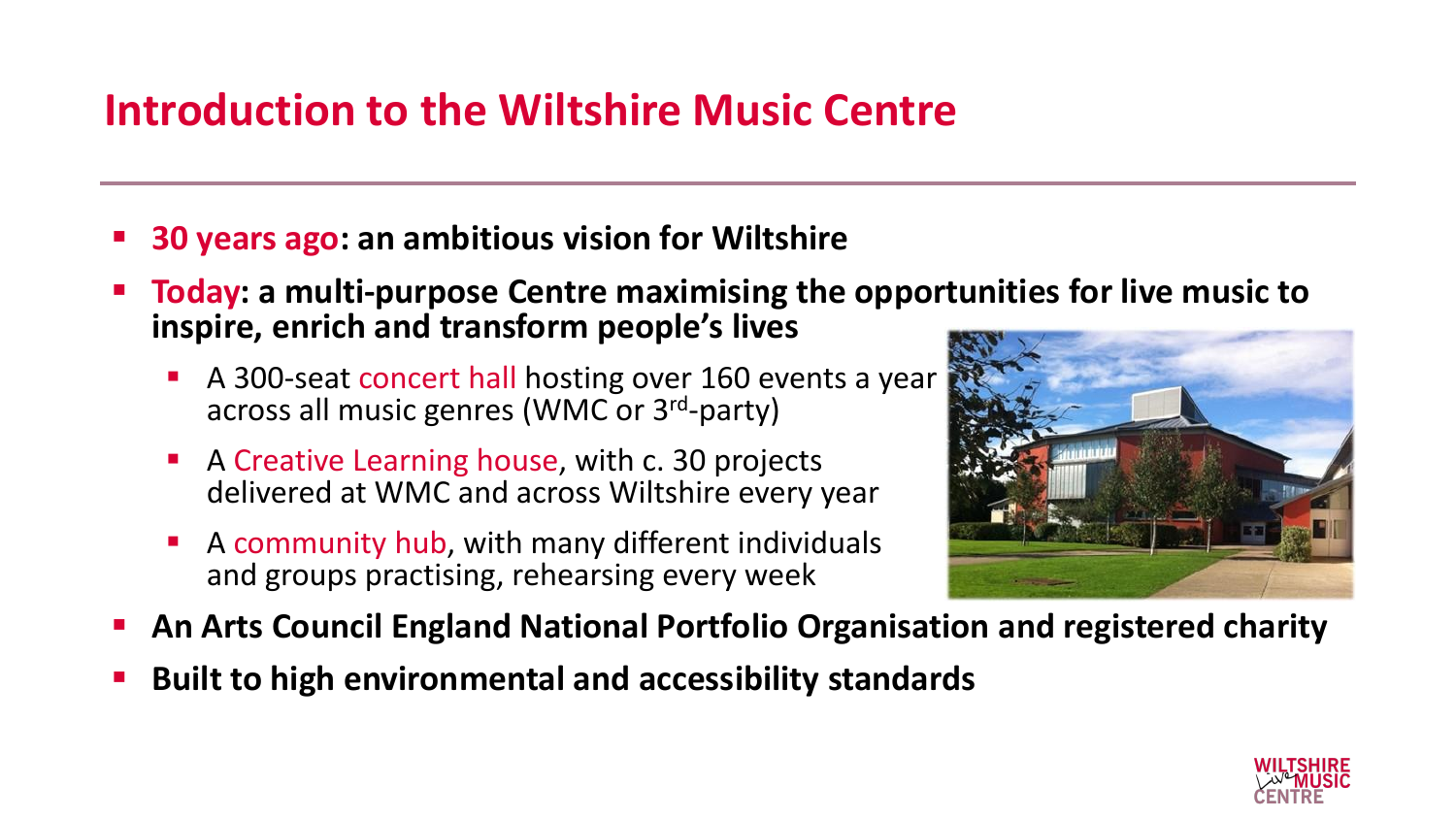# **Introduction to the Wiltshire Music Centre**

- **30 years ago: an ambitious vision for Wiltshire**
- **Today:** a multi-purpose Centre maximising the opportunities for live music to **inspire, enrich and transform people's lives**
	- A 300-seat concert hall hosting over 160 events a year across all music genres (WMC or 3<sup>rd</sup>-party)
	- A Creative Learning house, with c. 30 projects delivered at WMC and across Wiltshire every year
	- A community hub, with many different individuals and groups practising, rehearsing every week



- An Arts Council England National Portfolio Organisation and registered charity
- **Built to high environmental and accessibility standards**

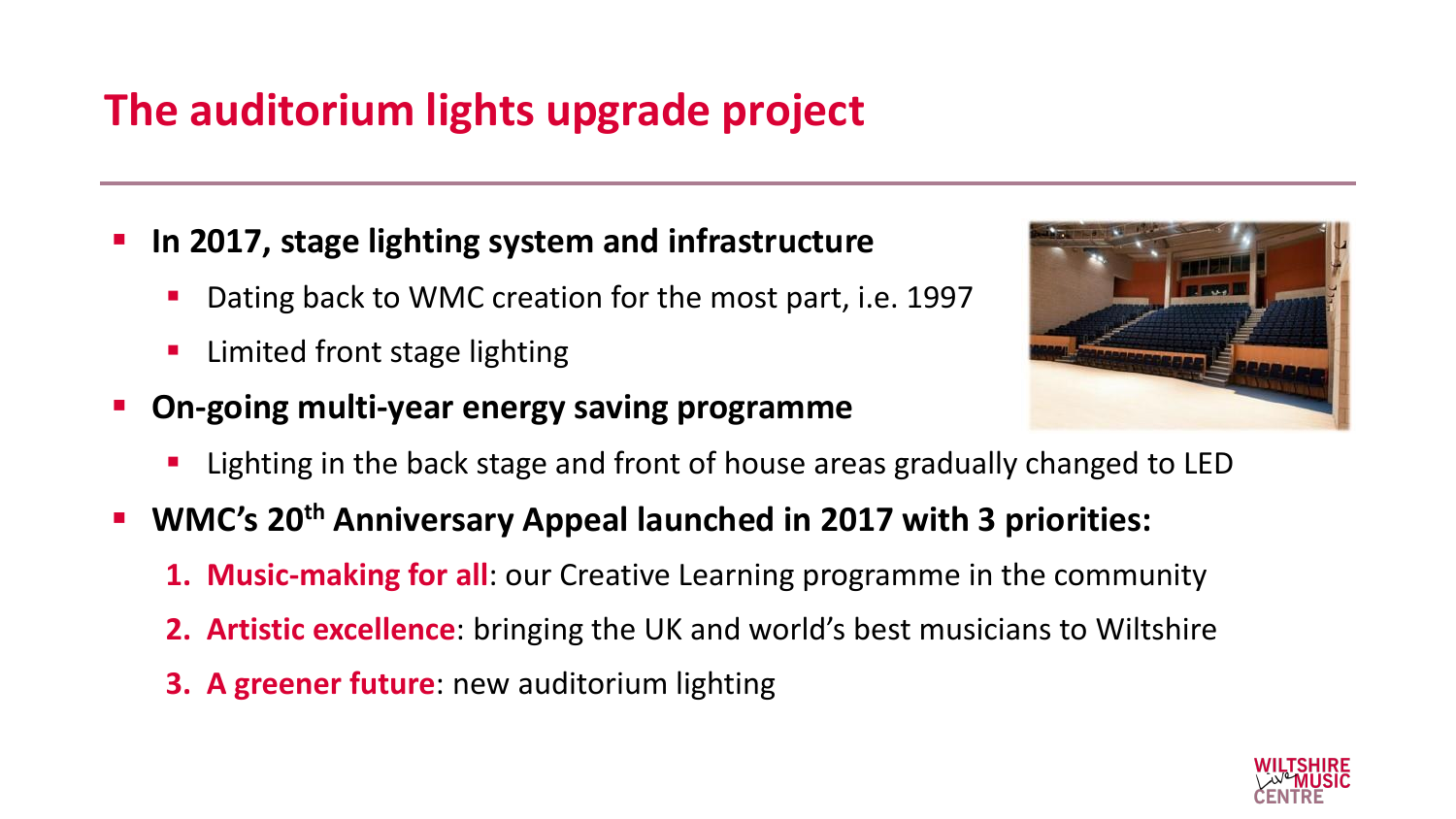# **The auditorium lights upgrade project**

- In 2017, stage lighting system and infrastructure
	- Dating back to WMC creation for the most part, i.e. 1997
	- Limited front stage lighting
- **On-going multi-year energy saving programme**



- Lighting in the back stage and front of house areas gradually changed to LED
- **WMC's 20th Anniversary Appeal launched in 2017 with 3 priorities:**
	- **1. Music-making for all**: our Creative Learning programme in the community
	- **2. Artistic excellence**: bringing the UK and world's best musicians to Wiltshire
	- **3. A greener future**: new auditorium lighting

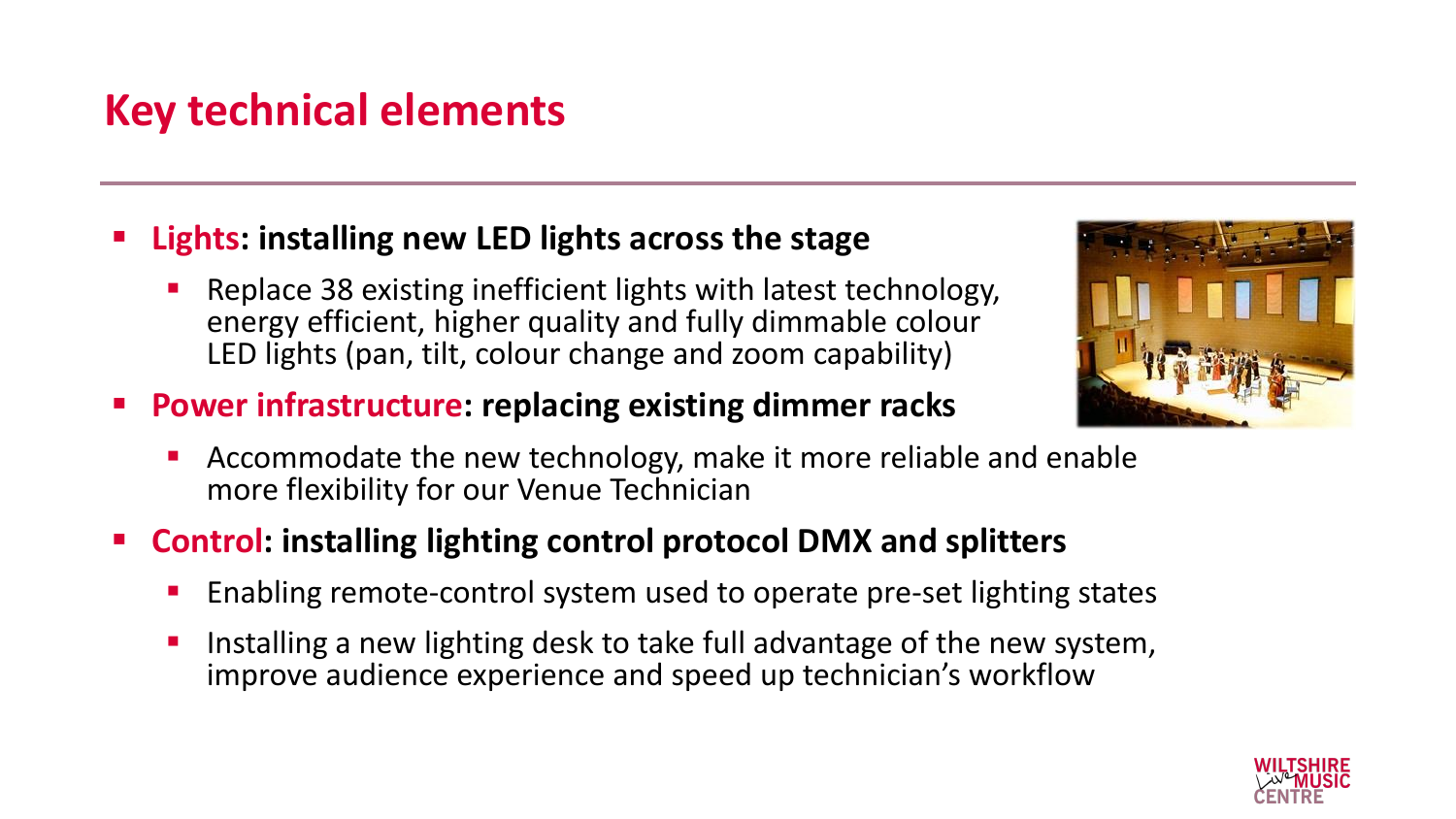# **Key technical elements**

- **Lights: installing new LED lights across the stage** 
	- Replace 38 existing inefficient lights with latest technology, energy efficient, higher quality and fully dimmable colour LED lights (pan, tilt, colour change and zoom capability)
- **Power infrastructure: replacing existing dimmer racks** 
	- Accommodate the new technology, make it more reliable and enable more flexibility for our Venue Technician
- **Control: installing lighting control protocol DMX and splitters** 
	- Enabling remote-control system used to operate pre-set lighting states
	- Installing a new lighting desk to take full advantage of the new system, improve audience experience and speed up technician's workflow



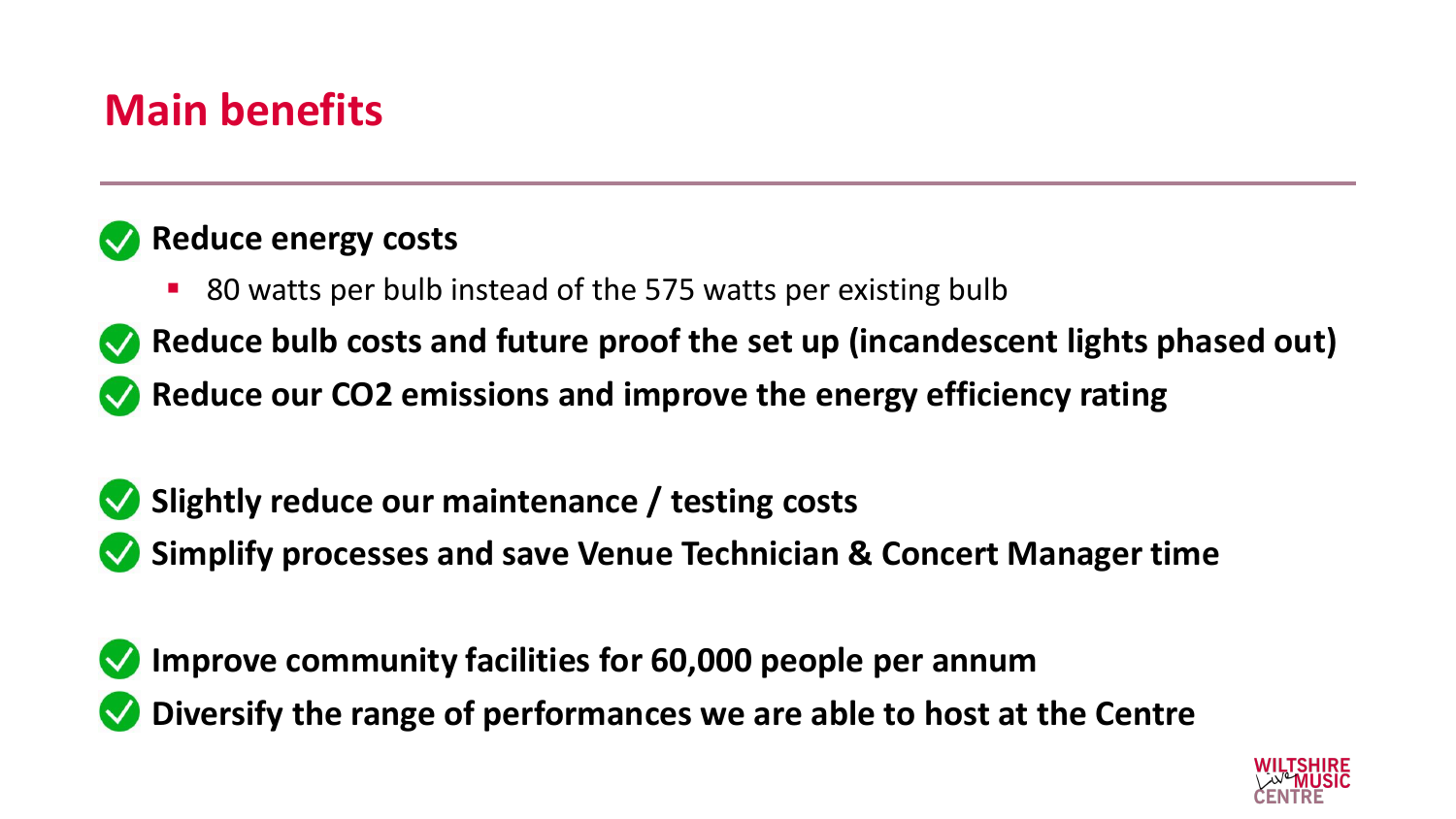# **Main benefits**

#### **Example 2 Reduce energy costs**

■ 80 watts per bulb instead of the 575 watts per existing bulb

**EX** Reduce bulb costs and future proof the set up (incandescent lights phased out)

**EX** Reduce our CO2 emissions and improve the energy efficiency rating

- **Slightly reduce our maintenance / testing costs**
- **Simplify processes and save Venue Technician & Concert Manager time**

**EXA Improve community facilities for 60,000 people per annum • Diversify the range of performances we are able to host at the Centre** 

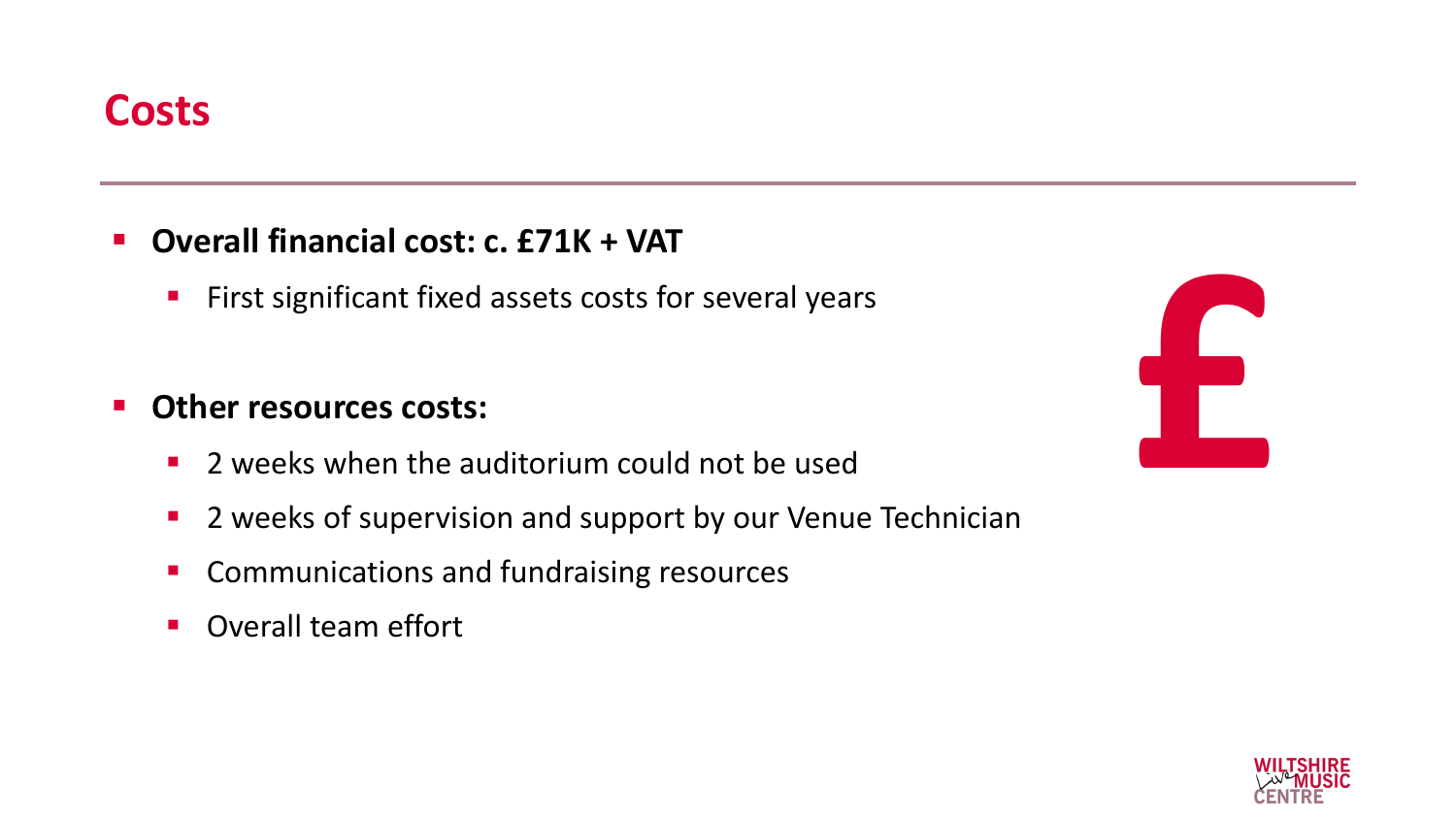- **Overall financial cost: c. £71K + VAT**
	- **EXTERS FIREST FIREY EXE** First significant fixed assets costs for several years

#### ▪ **Other resources costs:**

- 2 weeks when the auditorium could not be used
- 2 weeks of supervision and support by our Venue Technician
- Communications and fundraising resources
- Overall team effort

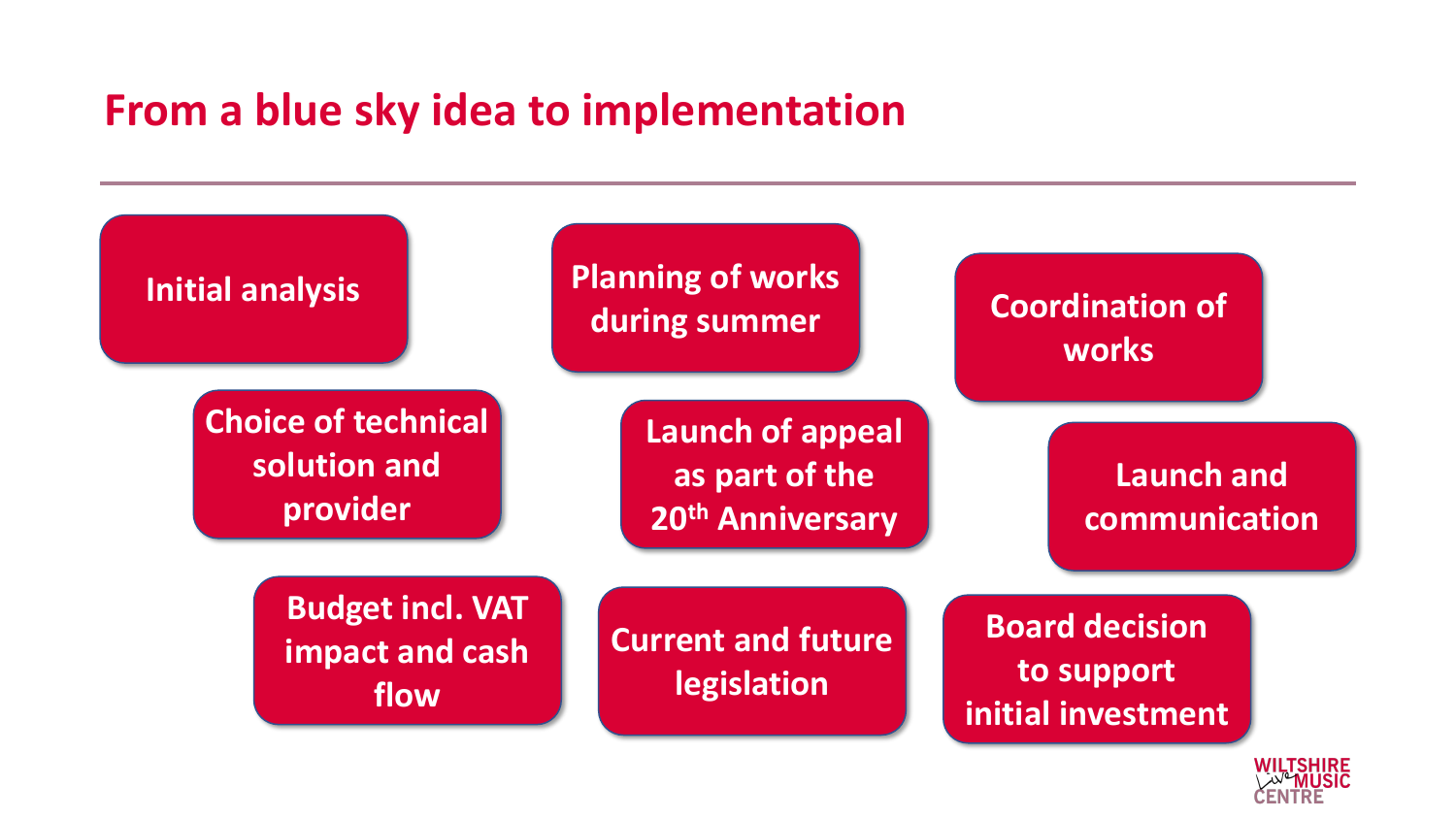### **From a blue sky idea to implementation**



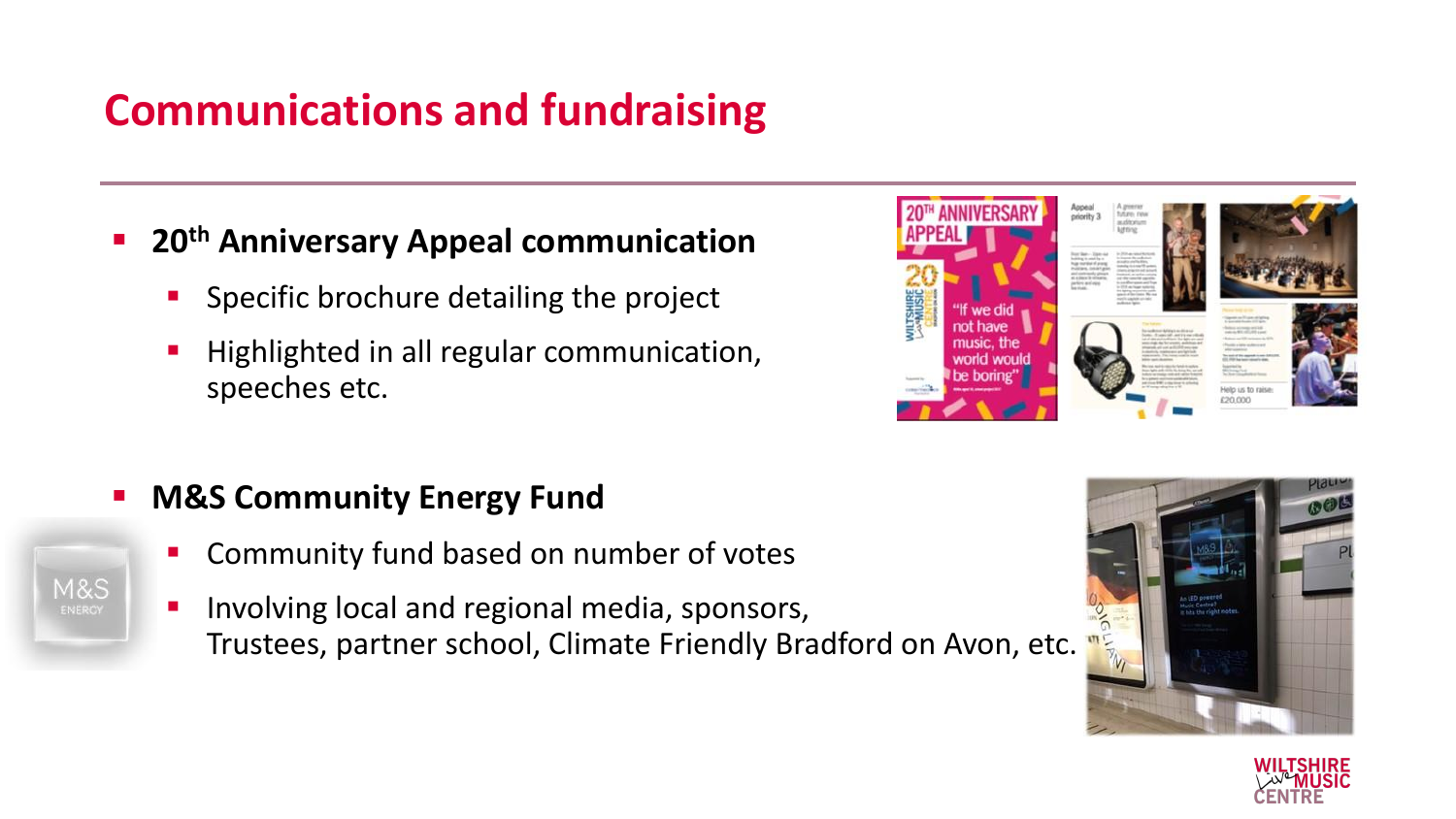# **Communications and fundraising**

- **20<sup>th</sup> Anniversary Appeal communication** 
	- Specific brochure detailing the project
	- Highlighted in all regular communication, speeches etc.
- **M&S Community Energy Fund** 
	- Community fund based on number of votes
	- Involving local and regional media, sponsors, Trustees, partner school, Climate Friendly Bradford on Avon, etc.





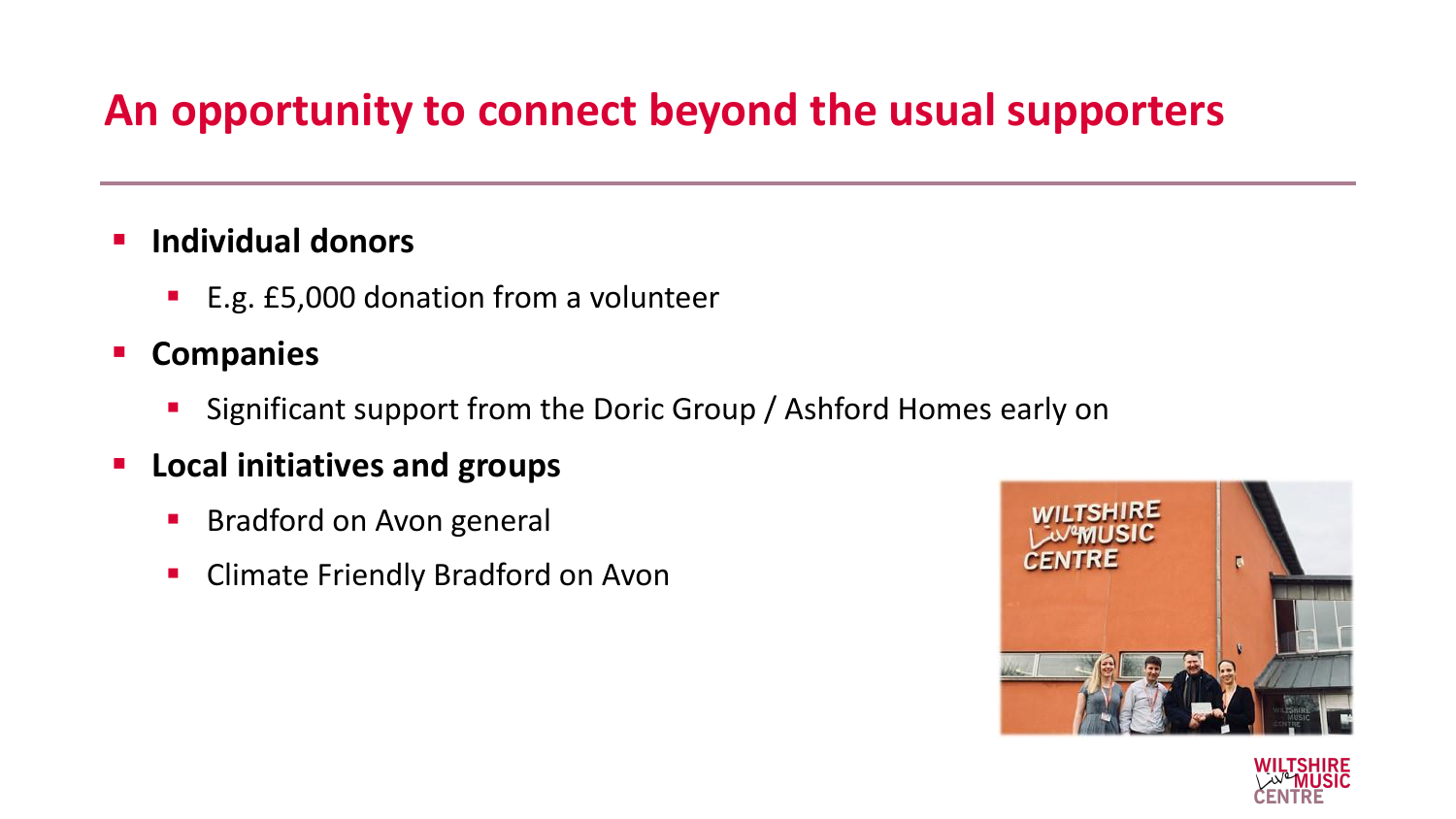# **An opportunity to connect beyond the usual supporters**

#### ▪ **Individual donors**

- E.g. £5,000 donation from a volunteer
- **Companies**
	- Significant support from the Doric Group / Ashford Homes early on
- **Local initiatives and groups**
	- Bradford on Avon general
	- **E** Climate Friendly Bradford on Avon



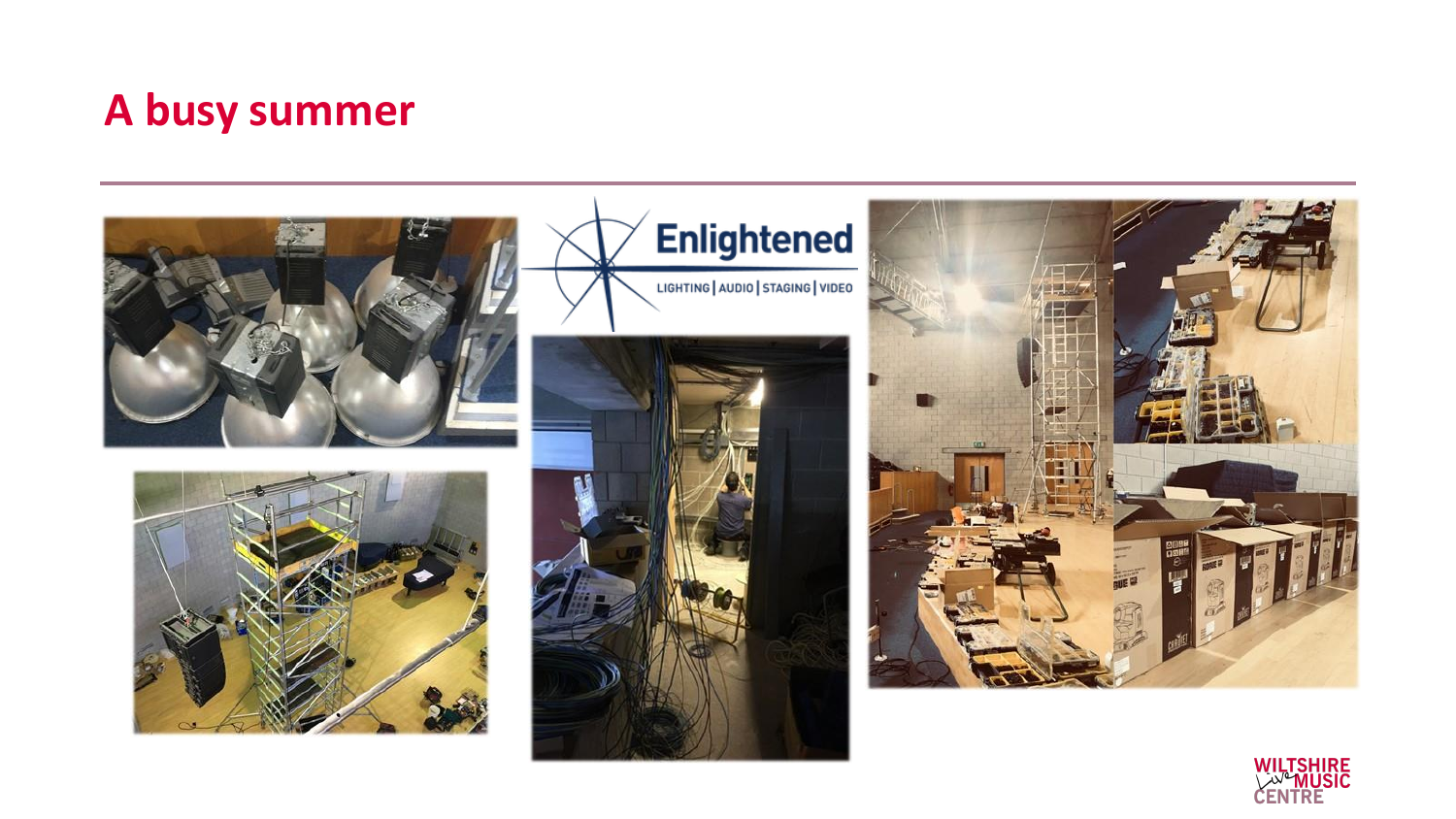# **A busy summer**











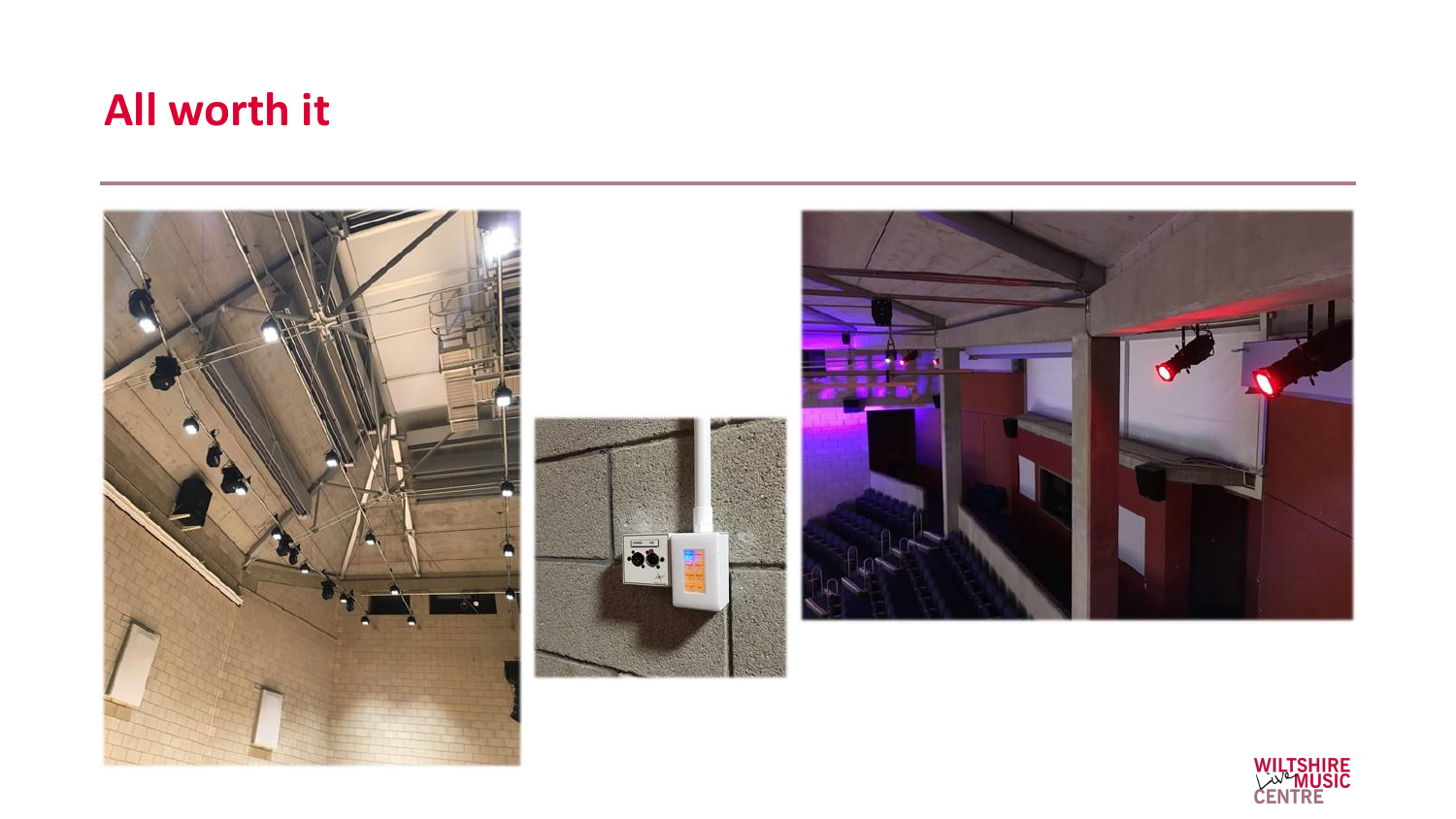## **All worth it**



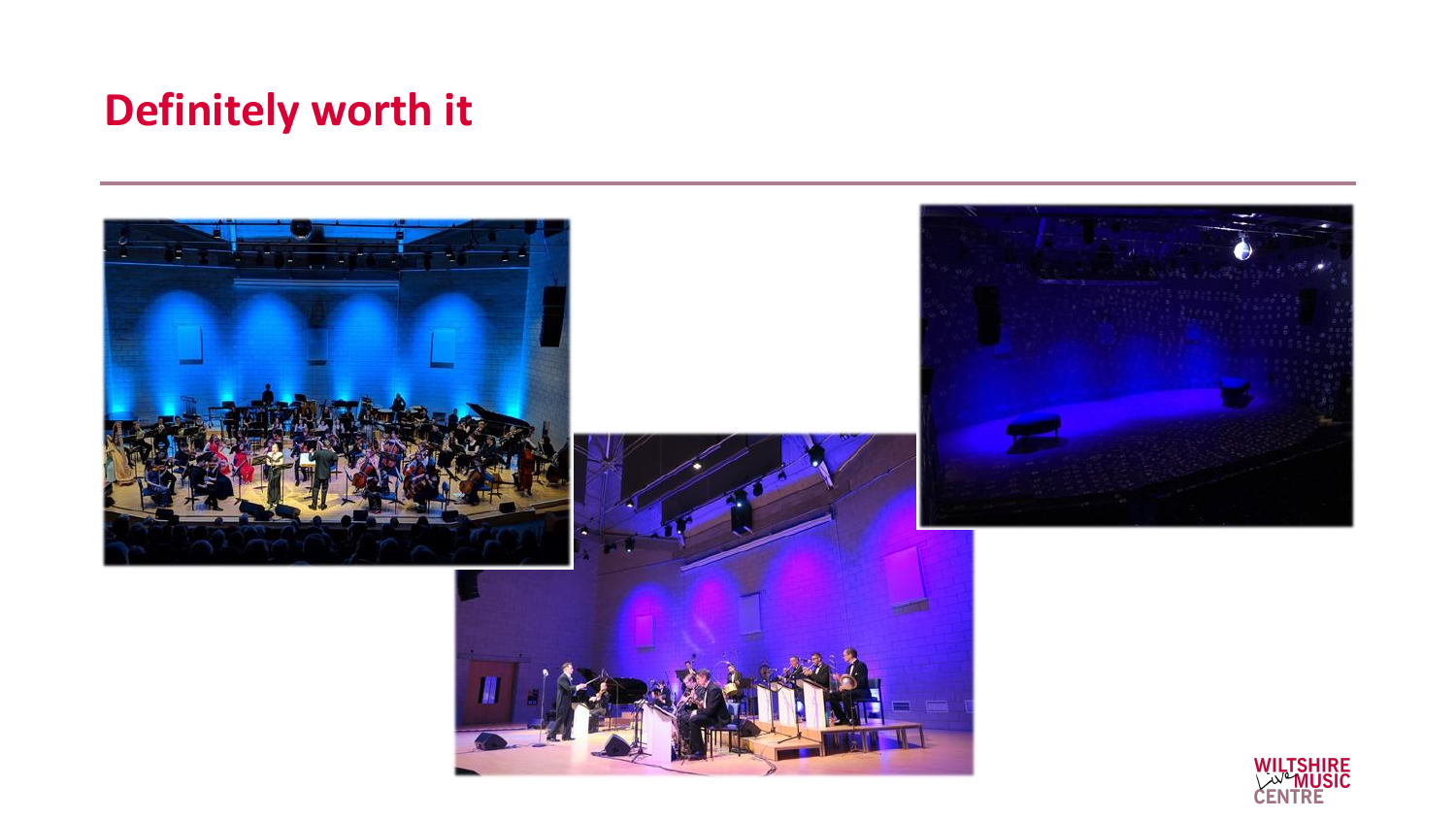# **Definitely worth it**

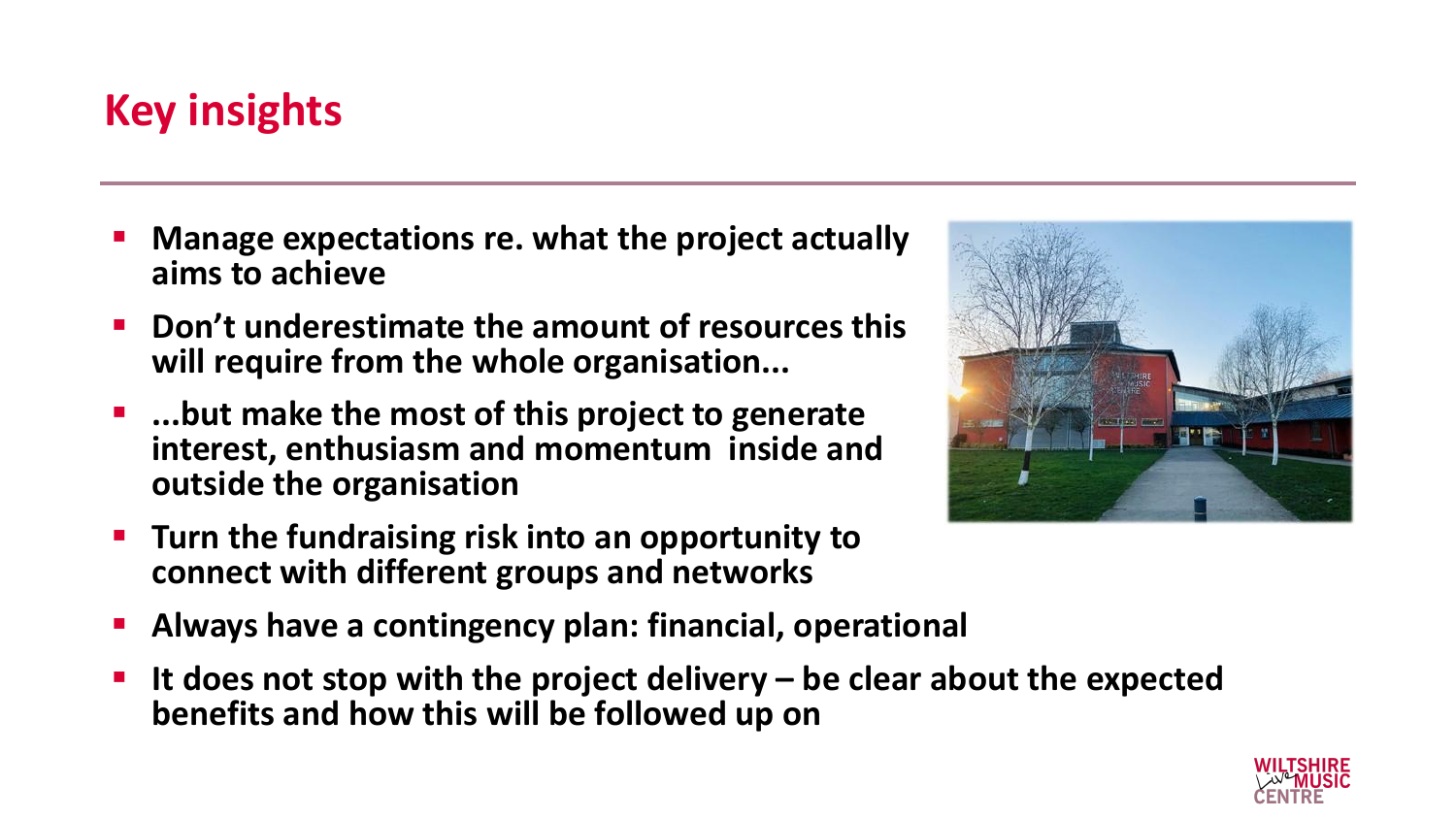# **Key insights**

- **Manage expectations re. what the project actually aims to achieve**
- **Don't underestimate the amount of resources this will require from the whole organisation...**
- ...but make the most of this project to generate **interest, enthusiasm and momentum inside and outside the organisation**
- **Turn the fundraising risk into an opportunity to connect with different groups and networks**
- Always have a contingency plan: financial, operational
- **It does not stop with the project delivery – be clear about the expected benefits and how this will be followed up on**